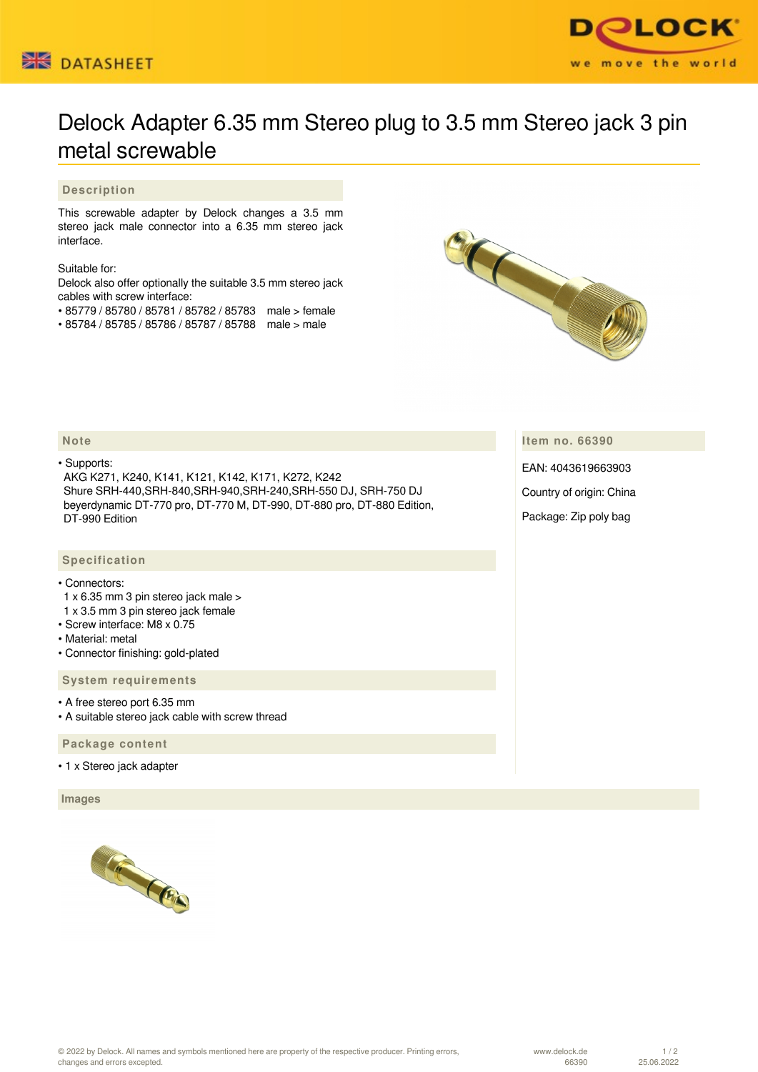



## Delock Adapter 6.35 mm Stereo plug to 3.5 mm Stereo jack 3 pin metal screwable

## **Description**

This screwable adapter by Delock changes a 3.5 mm stereo jack male connector into a 6.35 mm stereo jack interface.

Suitable for:

Delock also offer optionally the suitable 3.5 mm stereo jack cables with screw interface:

- 85779 / 85780 / 85781 / 85782 / 85783 male > female
- 85784 / 85785 / 85786 / 85787 / 85788 male > male



**Item no. 66390**

EAN: 4043619663903

Country of origin: China

Package: Zip poly bag

## **Note**

• Supports:

 AKG K271, K240, K141, K121, K142, K171, K272, K242 Shure SRH-440,SRH-840,SRH-940,SRH-240,SRH-550 DJ, SRH-750 DJ beyerdynamic DT-770 pro, DT-770 M, DT-990, DT-880 pro, DT-880 Edition, DT-990 Edition

## **Specification**

• Connectors:

- 1 x 6.35 mm 3 pin stereo jack male >
- 1 x 3.5 mm 3 pin stereo jack female
- Screw interface: M8 x 0.75
- Material: metal
- Connector finishing: gold-plated

 **System requirements**

• A free stereo port 6.35 mm

• A suitable stereo jack cable with screw thread

 **Package content**

• 1 x Stereo jack adapter

 **Images**



www.delock.de 66390